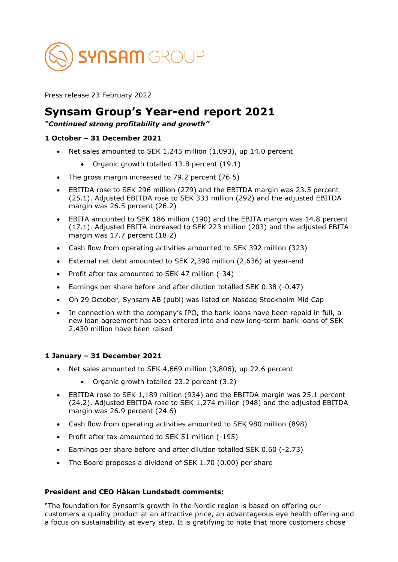

Press release 23 February 2022

# **Synsam Group's Year-end report 2021**

## *"Continued strong profitability and growth"*

### **1 October – 31 December 2021**

- Net sales amounted to SEK 1,245 million (1,093), up 14.0 percent
	- Organic growth totalled 13.8 percent (19.1)
- The gross margin increased to 79.2 percent (76.5)
- EBITDA rose to SEK 296 million (279) and the EBITDA margin was 23.5 percent (25.1). Adjusted EBITDA rose to SEK 333 million (292) and the adjusted EBITDA margin was 26.5 percent (26.2)
- EBITA amounted to SEK 186 million (190) and the EBITA margin was 14.8 percent (17.1). Adjusted EBITA increased to SEK 223 million (203) and the adjusted EBITA margin was 17.7 percent (18.2)
- Cash flow from operating activities amounted to SEK 392 million (323)
- External net debt amounted to SEK 2,390 million (2,636) at year-end
- Profit after tax amounted to SEK 47 million (-34)
- Earnings per share before and after dilution totalled SEK 0.38 (-0.47)
- On 29 October, Synsam AB (publ) was listed on Nasdaq Stockholm Mid Cap
- In connection with the company's IPO, the bank loans have been repaid in full, a new loan agreement has been entered into and new long-term bank loans of SEK 2,430 million have been raised

#### **1 January – 31 December 2021**

- Net sales amounted to SEK 4,669 million (3,806), up 22.6 percent
	- Organic growth totalled 23.2 percent (3.2)
- EBITDA rose to SEK 1,189 million (934) and the EBITDA margin was 25.1 percent (24.2). Adjusted EBITDA rose to SEK 1,274 million (948) and the adjusted EBITDA margin was 26.9 percent (24.6)
- Cash flow from operating activities amounted to SEK 980 million (898)
- Profit after tax amounted to SEK 51 million (-195)
- Earnings per share before and after dilution totalled SEK 0.60 (-2.73)
- The Board proposes a dividend of SEK 1.70 (0.00) per share

#### **President and CEO Håkan Lundstedt comments:**

"The foundation for Synsam's growth in the Nordic region is based on offering our customers a quality product at an attractive price, an advantageous eye health offering and a focus on sustainability at every step. It is gratifying to note that more customers chose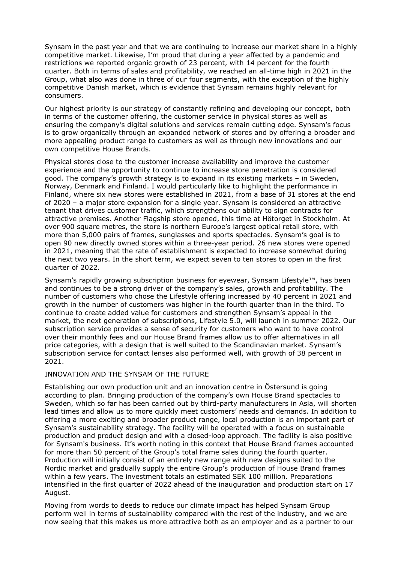Synsam in the past year and that we are continuing to increase our market share in a highly competitive market. Likewise, I'm proud that during a year affected by a pandemic and restrictions we reported organic growth of 23 percent, with 14 percent for the fourth quarter. Both in terms of sales and profitability, we reached an all-time high in 2021 in the Group, what also was done in three of our four segments, with the exception of the highly competitive Danish market, which is evidence that Synsam remains highly relevant for consumers.

Our highest priority is our strategy of constantly refining and developing our concept, both in terms of the customer offering, the customer service in physical stores as well as ensuring the company's digital solutions and services remain cutting edge. Synsam's focus is to grow organically through an expanded network of stores and by offering a broader and more appealing product range to customers as well as through new innovations and our own competitive House Brands.

Physical stores close to the customer increase availability and improve the customer experience and the opportunity to continue to increase store penetration is considered good. The company's growth strategy is to expand in its existing markets – in Sweden, Norway, Denmark and Finland. I would particularly like to highlight the performance in Finland, where six new stores were established in 2021, from a base of 31 stores at the end of 2020 – a major store expansion for a single year. Synsam is considered an attractive tenant that drives customer traffic, which strengthens our ability to sign contracts for attractive premises. Another Flagship store opened, this time at Hötorget in Stockholm. At over 900 square metres, the store is northern Europe's largest optical retail store, with more than 5,000 pairs of frames, sunglasses and sports spectacles. Synsam's goal is to open 90 new directly owned stores within a three-year period. 26 new stores were opened in 2021, meaning that the rate of establishment is expected to increase somewhat during the next two years. In the short term, we expect seven to ten stores to open in the first quarter of 2022.

Synsam's rapidly growing subscription business for eyewear, Synsam Lifestyle™, has been and continues to be a strong driver of the company's sales, growth and profitability. The number of customers who chose the Lifestyle offering increased by 40 percent in 2021 and growth in the number of customers was higher in the fourth quarter than in the third. To continue to create added value for customers and strengthen Synsam's appeal in the market, the next generation of subscriptions, Lifestyle 5.0, will launch in summer 2022. Our subscription service provides a sense of security for customers who want to have control over their monthly fees and our House Brand frames allow us to offer alternatives in all price categories, with a design that is well suited to the Scandinavian market. Synsam's subscription service for contact lenses also performed well, with growth of 38 percent in 2021.

#### INNOVATION AND THE SYNSAM OF THE FUTURE

Establishing our own production unit and an innovation centre in Östersund is going according to plan. Bringing production of the company's own House Brand spectacles to Sweden, which so far has been carried out by third-party manufacturers in Asia, will shorten lead times and allow us to more quickly meet customers' needs and demands. In addition to offering a more exciting and broader product range, local production is an important part of Synsam's sustainability strategy. The facility will be operated with a focus on sustainable production and product design and with a closed-loop approach. The facility is also positive for Synsam's business. It's worth noting in this context that House Brand frames accounted for more than 50 percent of the Group's total frame sales during the fourth quarter. Production will initially consist of an entirely new range with new designs suited to the Nordic market and gradually supply the entire Group's production of House Brand frames within a few years. The investment totals an estimated SEK 100 million. Preparations intensified in the first quarter of 2022 ahead of the inauguration and production start on 17 August.

Moving from words to deeds to reduce our climate impact has helped Synsam Group perform well in terms of sustainability compared with the rest of the industry, and we are now seeing that this makes us more attractive both as an employer and as a partner to our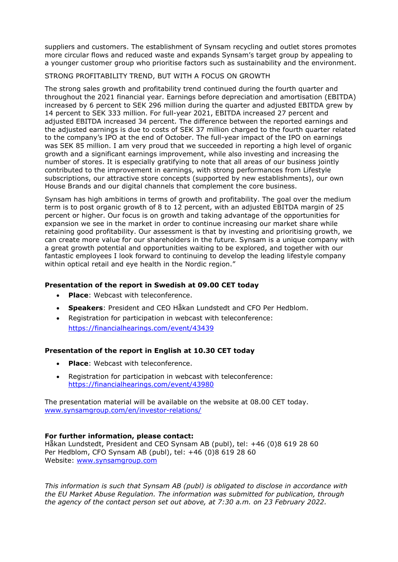suppliers and customers. The establishment of Synsam recycling and outlet stores promotes more circular flows and reduced waste and expands Synsam's target group by appealing to a younger customer group who prioritise factors such as sustainability and the environment.

#### STRONG PROFITABILITY TREND, BUT WITH A FOCUS ON GROWTH

The strong sales growth and profitability trend continued during the fourth quarter and throughout the 2021 financial year. Earnings before depreciation and amortisation (EBITDA) increased by 6 percent to SEK 296 million during the quarter and adjusted EBITDA grew by 14 percent to SEK 333 million. For full-year 2021, EBITDA increased 27 percent and adjusted EBITDA increased 34 percent. The difference between the reported earnings and the adjusted earnings is due to costs of SEK 37 million charged to the fourth quarter related to the company's IPO at the end of October. The full-year impact of the IPO on earnings was SEK 85 million. I am very proud that we succeeded in reporting a high level of organic growth and a significant earnings improvement, while also investing and increasing the number of stores. It is especially gratifying to note that all areas of our business jointly contributed to the improvement in earnings, with strong performances from Lifestyle subscriptions, our attractive store concepts (supported by new establishments), our own House Brands and our digital channels that complement the core business.

Synsam has high ambitions in terms of growth and profitability. The goal over the medium term is to post organic growth of 8 to 12 percent, with an adjusted EBITDA margin of 25 percent or higher. Our focus is on growth and taking advantage of the opportunities for expansion we see in the market in order to continue increasing our market share while retaining good profitability. Our assessment is that by investing and prioritising growth, we can create more value for our shareholders in the future. Synsam is a unique company with a great growth potential and opportunities waiting to be explored, and together with our fantastic employees I look forward to continuing to develop the leading lifestyle company within optical retail and eye health in the Nordic region."

## **Presentation of the report in Swedish at 09.00 CET today**

- **Place:** Webcast with teleconference.
- **Speakers**: President and CEO Håkan Lundstedt and CFO Per Hedblom.
- Registration for participation in webcast with teleconference: <https://financialhearings.com/event/43439>

## **Presentation of the report in English at 10.30 CET today**

- **Place:** Webcast with teleconference.
- Registration for participation in webcast with teleconference: <https://financialhearings.com/event/43980>

The presentation material will be available on the website at 08.00 CET today. [www.synsamgroup.com/en/investor-relations/](http://www.synsamgroup.com/en/investor-relations/)

## **For further information, please contact:**

Håkan Lundstedt, President and CEO Synsam AB (publ), tel: +46 (0)8 619 28 60 Per Hedblom, CFO Synsam AB (publ), tel: +46 (0)8 619 28 60 Website: [www.synsamgroup.com](http://www.synsamgroup.com/)

*This information is such that Synsam AB (publ) is obligated to disclose in accordance with the EU Market Abuse Regulation. The information was submitted for publication, through the agency of the contact person set out above, at 7:30 a.m. on 23 February 2022.*